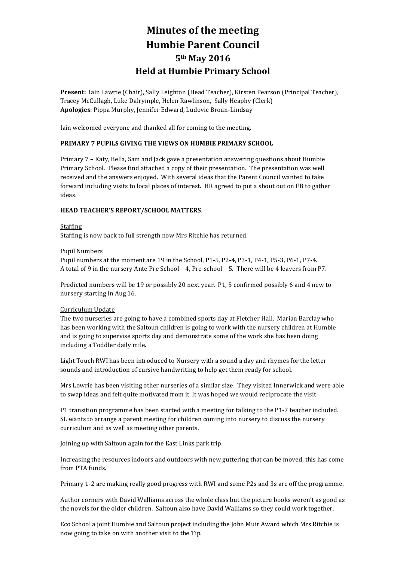# **Minutes of the meeting Humbie Parent Council 5th May 2016 Held at Humbie Primary School**

Present: Iain Lawrie (Chair), Sally Leighton (Head Teacher), Kirsten Pearson (Principal Teacher), Tracey McCullagh, Luke Dalrymple, Helen Rawlinson, Sally Heaphy (Clerk) Apologies: Pippa Murphy, Jennifer Edward, Ludovic Broun-Lindsay

Iain welcomed everyone and thanked all for coming to the meeting.

## **PRIMARY 7 PUPILS GIVING THE VIEWS ON HUMBIE PRIMARY SCHOOL**

Primary 7 - Katy, Bella, Sam and Jack gave a presentation answering questions about Humbie Primary School. Please find attached a copy of their presentation. The presentation was well received and the answers enjoyed. With several ideas that the Parent Council wanted to take forward including visits to local places of interest. HR agreed to put a shout out on FB to gather ideas.

## **HEAD TEACHER'S REPORT/SCHOOL MATTERS**.

## **Staffing**

Staffing is now back to full strength now Mrs Ritchie has returned.

## Pupil Numbers

Pupil numbers at the moment are  $19$  in the School, P1-5, P2-4, P3-1, P4-1, P5-3, P6-1, P7-4. A total of 9 in the nursery Ante Pre School – 4, Pre-school – 5. There will be 4 leavers from P7.

Predicted numbers will be 19 or possibly 20 next year. P1, 5 confirmed possibly 6 and 4 new to nursery starting in Aug 16.

## Curriculum Update

The two nurseries are going to have a combined sports day at Fletcher Hall. Marian Barclay who has been working with the Saltoun children is going to work with the nursery children at Humbie and is going to supervise sports day and demonstrate some of the work she has been doing including a Toddler daily mile.

Light Touch RWI has been introduced to Nursery with a sound a day and rhymes for the letter sounds and introduction of cursive handwriting to help get them ready for school.

Mrs Lowrie has been visiting other nurseries of a similar size. They visited Innerwick and were able to swap ideas and felt quite motivated from it. It was hoped we would reciprocate the visit.

P1 transition programme has been started with a meeting for talking to the P1-7 teacher included. SL wants to arrange a parent meeting for children coming into nursery to discuss the nursery curriculum and as well as meeting other parents.

Joining up with Saltoun again for the East Links park trip.

Increasing the resources indoors and outdoors with new guttering that can be moved, this has come from PTA funds.

Primary 1-2 are making really good progress with RWI and some P2s and 3s are off the programme.

Author corners with David Walliams across the whole class but the picture books weren't as good as the novels for the older children. Saltoun also have David Walliams so they could work together.

Eco School a joint Humbie and Saltoun project including the John Muir Award which Mrs Ritchie is now going to take on with another visit to the Tip.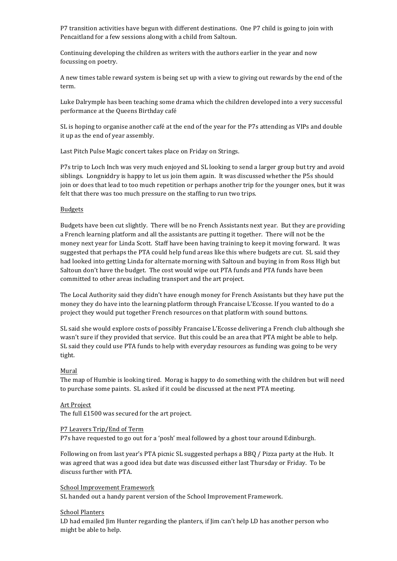P7 transition activities have begun with different destinations. One P7 child is going to join with Pencaitland for a few sessions along with a child from Saltoun.

Continuing developing the children as writers with the authors earlier in the year and now focussing on poetry.

A new times table reward system is being set up with a view to giving out rewards by the end of the term.

Luke Dalrymple has been teaching some drama which the children developed into a very successful performance at the Queens Birthday café

SL is hoping to organise another café at the end of the year for the P7s attending as VIPs and double it up as the end of year assembly.

Last Pitch Pulse Magic concert takes place on Friday on Strings.

P7s trip to Loch Inch was very much enjoyed and SL looking to send a larger group but try and avoid siblings. Longniddry is happy to let us join them again. It was discussed whether the P5s should join or does that lead to too much repetition or perhaps another trip for the younger ones, but it was felt that there was too much pressure on the staffing to run two trips.

#### **Budgets**

Budgets have been cut slightly. There will be no French Assistants next year. But they are providing a French learning platform and all the assistants are putting it together. There will not be the money next year for Linda Scott. Staff have been having training to keep it moving forward. It was suggested that perhaps the PTA could help fund areas like this where budgets are cut. SL said they had looked into getting Linda for alternate morning with Saltoun and buying in from Ross High but Saltoun don't have the budget. The cost would wipe out PTA funds and PTA funds have been committed to other areas including transport and the art project.

The Local Authority said they didn't have enough money for French Assistants but they have put the money they do have into the learning platform through Francaise L'Ecosse. If you wanted to do a project they would put together French resources on that platform with sound buttons.

SL said she would explore costs of possibly Francaise L'Ecosse delivering a French club although she wasn't sure if they provided that service. But this could be an area that PTA might be able to help. SL said they could use PTA funds to help with everyday resources as funding was going to be very tight.

## Mural

The map of Humbie is looking tired. Morag is happy to do something with the children but will need to purchase some paints. SL asked if it could be discussed at the next PTA meeting.

#### Art Project

The full  $£1500$  was secured for the art project.

#### P7 Leavers Trip/End of Term

P7s have requested to go out for a 'posh' meal followed by a ghost tour around Edinburgh.

Following on from last year's PTA picnic SL suggested perhaps a BBQ / Pizza party at the Hub. It was agreed that was a good idea but date was discussed either last Thursday or Friday. To be discuss further with PTA.

## School Improvement Framework

SL handed out a handy parent version of the School Improvement Framework.

## School Planters

LD had emailed Jim Hunter regarding the planters, if Jim can't help LD has another person who might be able to help.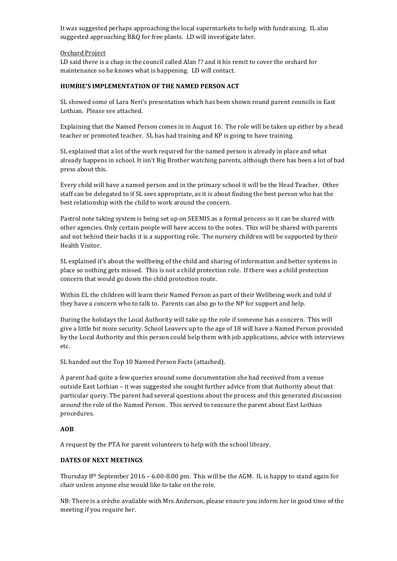It was suggested perhaps approaching the local supermarkets to help with fundraising. IL also suggested approaching B&Q for free plants. LD will investigate later.

## Orchard Project

LD said there is a chap in the council called Alan ?? and it his remit to cover the orchard for maintenance so he knows what is happening. LD will contact.

## **HUMBIE'S IMPLEMENTATION OF THE NAMED PERSON ACT**

SL showed some of Lara Neri's presentation which has been shown round parent councils in East Lothian. Please see attached.

Explaining that the Named Person comes in in August 16. The role will be taken up either by a head teacher or promoted teacher. SL has had training and KP is going to have training.

SL explained that a lot of the work required for the named person is already in place and what already happens in school. It isn't Big Brother watching parents, although there has been a lot of bad press about this.

Every child will have a named person and in the primary school it will be the Head Teacher. Other staff can be delegated to if SL sees appropriate, as it is about finding the best person who has the best relationship with the child to work around the concern.

Pastrol note taking system is being set up on SEEMIS as a formal process so it can be shared with other agencies. Only certain people will have access to the notes. This will be shared with parents and not behind their backs it is a supporting role. The nursery children will be supported by their Health Visitor.

SL explained it's about the wellbeing of the child and sharing of information and better systems in place so nothing gets missed. This is not a child protection role. If there was a child protection concern that would go down the child protection route.

Within EL the children will learn their Named Person as part of their Wellbeing work and told if they have a concern who to talk to. Parents can also go to the NP for support and help.

During the holidays the Local Authority will take up the role if someone has a concern. This will give a little bit more security. School Leavers up to the age of 18 will have a Named Person provided by the Local Authority and this person could help them with job applications, advice with interviews etc.

SL handed out the Top 10 Named Person Facts (attached).

A parent had quite a few queries around some documentation she had received from a venue outside East Lothian – it was suggested she sought further advice from that Authority about that particular query. The parent had several questions about the process and this generated discussion around the role of the Named Person. This served to reassure the parent about East Lothian procedures. 

## **AOB**

A request by the PTA for parent volunteers to help with the school library.

## **DATES OF NEXT MEETINGS**

Thursday 8<sup>th</sup> September 2016 – 6.00-8.00 pm. This will be the AGM. IL is happy to stand again for chair unless anyone else would like to take on the role.

NB: There is a crèche available with Mrs Anderson, please ensure you inform her in good time of the meeting if you require her.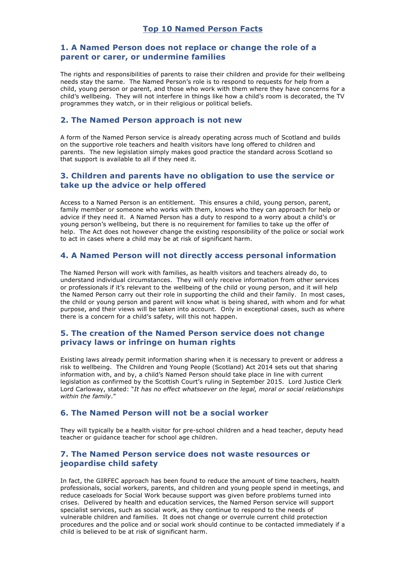# **Top 10 Named Person Facts**

# **1. A Named Person does not replace or change the role of a parent or carer, or undermine families**

The rights and responsibilities of parents to raise their children and provide for their wellbeing needs stay the same. The Named Person's role is to respond to requests for help from a child, young person or parent, and those who work with them where they have concerns for a child's wellbeing. They will not interfere in things like how a child's room is decorated, the TV programmes they watch, or in their religious or political beliefs.

## **2. The Named Person approach is not new**

A form of the Named Person service is already operating across much of Scotland and builds on the supportive role teachers and health visitors have long offered to children and parents. The new legislation simply makes good practice the standard across Scotland so that support is available to all if they need it.

# **3. Children and parents have no obligation to use the service or take up the advice or help offered**

Access to a Named Person is an entitlement. This ensures a child, young person, parent, family member or someone who works with them, knows who they can approach for help or advice if they need it. A Named Person has a duty to respond to a worry about a child's or young person's wellbeing, but there is no requirement for families to take up the offer of help. The Act does not however change the existing responsibility of the police or social work to act in cases where a child may be at risk of significant harm.

# **4. A Named Person will not directly access personal information**

The Named Person will work with families, as health visitors and teachers already do, to understand individual circumstances. They will only receive information from other services or professionals if it's relevant to the wellbeing of the child or young person, and it will help the Named Person carry out their role in supporting the child and their family. In most cases, the child or young person and parent will know what is being shared, with whom and for what purpose, and their views will be taken into account. Only in exceptional cases, such as where there is a concern for a child's safety, will this not happen.

# **5. The creation of the Named Person service does not change privacy laws or infringe on human rights**

Existing laws already permit information sharing when it is necessary to prevent or address a risk to wellbeing. The Children and Young People (Scotland) Act 2014 sets out that sharing information with, and by, a child's Named Person should take place in line with current legislation as confirmed by the Scottish Court's ruling in September 2015. Lord Justice Clerk Lord Carloway, stated: "*It has no effect whatsoever on the legal, moral or social relationships within the family*."

# **6. The Named Person will not be a social worker**

They will typically be a health visitor for pre-school children and a head teacher, deputy head teacher or guidance teacher for school age children.

# **7. The Named Person service does not waste resources or jeopardise child safety**

In fact, the GIRFEC approach has been found to reduce the amount of time teachers, health professionals, social workers, parents, and children and young people spend in meetings, and reduce caseloads for Social Work because support was given before problems turned into crises. Delivered by health and education services, the Named Person service will support specialist services, such as social work, as they continue to respond to the needs of vulnerable children and families. It does not change or overrule current child protection procedures and the police and or social work should continue to be contacted immediately if a child is believed to be at risk of significant harm.